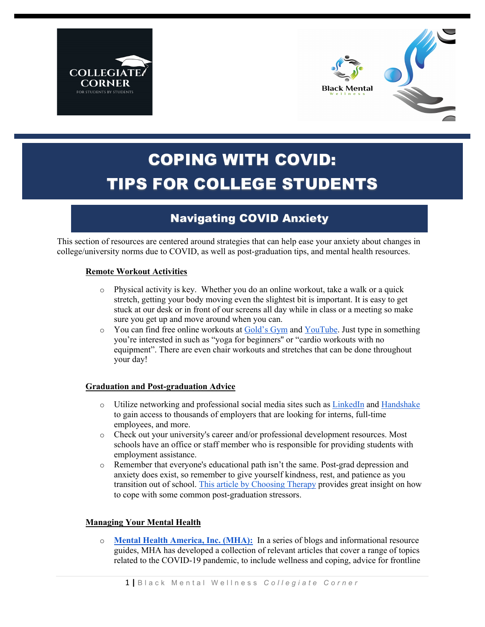



# COPING WITH COVID: TIPS FOR COLLEGE STUDENTS

## Navigating COVID Anxiety

This section of resources are centered around strategies that can help ease your anxiety about changes in college/university norms due to COVID, as well as post-graduation tips, and mental health resources.

#### **Remote Workout Activities**

- $\circ$  Physical activity is key. Whether you do an online workout, take a walk or a quick stretch, getting your body moving even the slightest bit is important. It is easy to get stuck at our desk or in front of our screens all day while in class or a meeting so make sure you get up and move around when you can.
- o You can find free online workouts at Gold's Gym and YouTube. Just type in something you're interested in such as "yoga for beginners'' or "cardio workouts with no equipment". There are even chair workouts and stretches that can be done throughout your day!

### **Graduation and Post-graduation Advice**

- o Utilize networking and professional social media sites such as LinkedIn and Handshake to gain access to thousands of employers that are looking for interns, full-time employees, and more.
- o Check out your university's career and/or professional development resources. Most schools have an office or staff member who is responsible for providing students with employment assistance.
- o Remember that everyone's educational path isn't the same. Post-grad depression and anxiety does exist, so remember to give yourself kindness, rest, and patience as you transition out of school. This article by Choosing Therapy provides great insight on how to cope with some common post-graduation stressors.

### **Managing Your Mental Health**

o **Mental Health America, Inc. (MHA):** In a series of blogs and informational resource guides, MHA has developed a collection of relevant articles that cover a range of topics related to the COVID-19 pandemic, to include wellness and coping, advice for frontline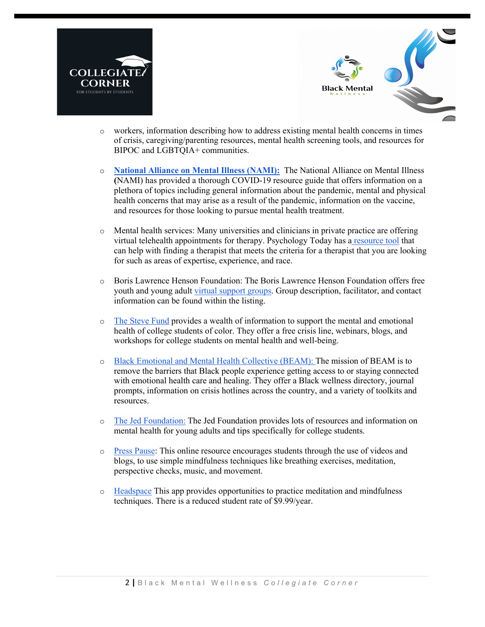



- o workers, information describing how to address existing mental health concerns in times of crisis, caregiving/parenting resources, mental health screening tools, and resources for BIPOC and LGBTQIA+ communities.
- o **National Alliance on Mental Illness (NAMI):** The National Alliance on Mental Illness **(**NAMI) has provided a thorough COVID-19 resource guide that offers information on a plethora of topics including general information about the pandemic, mental and physical health concerns that may arise as a result of the pandemic, information on the vaccine, and resources for those looking to pursue mental health treatment.
- o Mental health services: Many universities and clinicians in private practice are offering virtual telehealth appointments for therapy. Psychology Today has a resource tool that can help with finding a therapist that meets the criteria for a therapist that you are looking for such as areas of expertise, experience, and race.
- o Boris Lawrence Henson Foundation: The Boris Lawrence Henson Foundation offers free youth and young adult virtual support groups. Group description, facilitator, and contact information can be found within the listing.
- o The Steve Fund provides a wealth of information to support the mental and emotional health of college students of color. They offer a free crisis line, webinars, blogs, and workshops for college students on mental health and well-being.
- o Black Emotional and Mental Health Collective (BEAM): The mission of BEAM is to remove the barriers that Black people experience getting access to or staying connected with emotional health care and healing. They offer a Black wellness directory, journal prompts, information on crisis hotlines across the country, and a variety of toolkits and resources.
- o The Jed Foundation: The Jed Foundation provides lots of resources and information on mental health for young adults and tips specifically for college students.
- o Press Pause: This online resource encourages students through the use of videos and blogs, to use simple mindfulness techniques like breathing exercises, meditation, perspective checks, music, and movement.
- o Headspace This app provides opportunities to practice meditation and mindfulness techniques. There is a reduced student rate of \$9.99/year.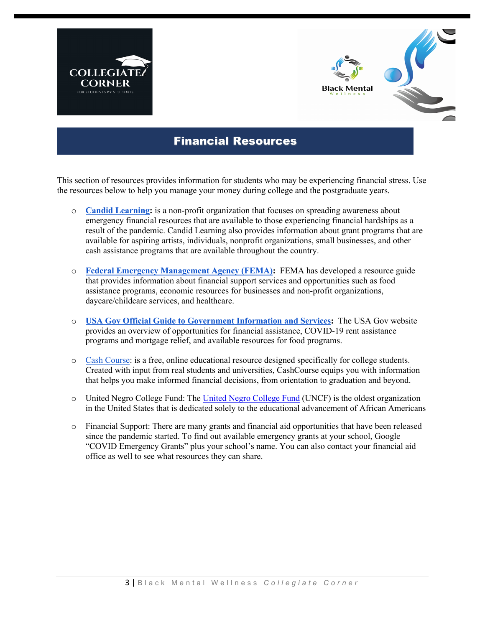



### Financial Resources

This section of resources provides information for students who may be experiencing financial stress. Use the resources below to help you manage your money during college and the postgraduate years.

- o **Candid Learning:** is a non-profit organization that focuses on spreading awareness about emergency financial resources that are available to those experiencing financial hardships as a result of the pandemic. Candid Learning also provides information about grant programs that are available for aspiring artists, individuals, nonprofit organizations, small businesses, and other cash assistance programs that are available throughout the country.
- o **Federal Emergency Management Agency (FEMA):** FEMA has developed a resource guide that provides information about financial support services and opportunities such as food assistance programs, economic resources for businesses and non-profit organizations, daycare/childcare services, and healthcare.
- o **USA Gov Official Guide to Government Information and Services:** The USA Gov website provides an overview of opportunities for financial assistance, COVID-19 rent assistance programs and mortgage relief, and available resources for food programs.
- o Cash Course: is a free, online educational resource designed specifically for college students. Created with input from real students and universities, CashCourse equips you with information that helps you make informed financial decisions, from orientation to graduation and beyond.
- o United Negro College Fund: The United Negro College Fund (UNCF) is the oldest organization in the United States that is dedicated solely to the educational advancement of African Americans
- o Financial Support: There are many grants and financial aid opportunities that have been released since the pandemic started. To find out available emergency grants at your school, Google "COVID Emergency Grants" plus your school's name. You can also contact your financial aid office as well to see what resources they can share.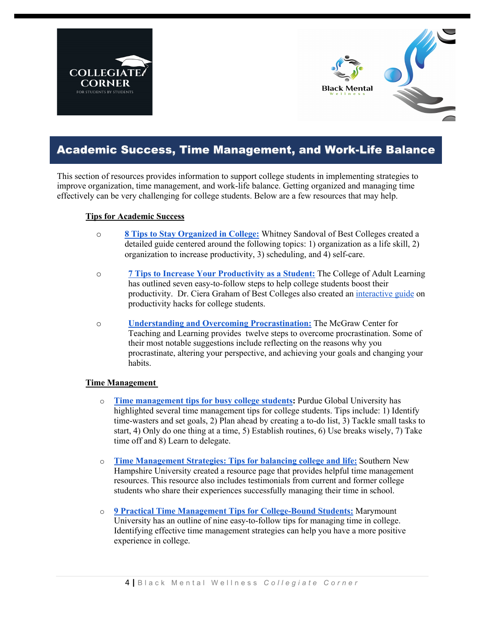



### Academic Success, Time Management, and Work-Life Balance

This section of resources provides information to support college students in implementing strategies to improve organization, time management, and work-life balance. Getting organized and managing time effectively can be very challenging for college students. Below are a few resources that may help.

#### **Tips for Academic Success**

- o **8 Tips to Stay Organized in College:** Whitney Sandoval of Best Colleges created a detailed guide centered around the following topics: 1) organization as a life skill, 2) organization to increase productivity, 3) scheduling, and 4) self-care.
- o **7 Tips to Increase Your Productivity as a Student:** The College of Adult Learning has outlined seven easy-to-follow steps to help college students boost their productivity. Dr. Ciera Graham of Best Colleges also created an interactive guide on productivity hacks for college students.
- o **Understanding and Overcoming Procrastination:** The McGraw Center for Teaching and Learning provides twelve steps to overcome procrastination. Some of their most notable suggestions include reflecting on the reasons why you procrastinate, altering your perspective, and achieving your goals and changing your habits.

### **Time Management**

- o **Time management tips for busy college students:** Purdue Global University has highlighted several time management tips for college students. Tips include: 1) Identify time-wasters and set goals, 2) Plan ahead by creating a to-do list, 3) Tackle small tasks to start, 4) Only do one thing at a time, 5) Establish routines, 6) Use breaks wisely, 7) Take time off and 8) Learn to delegate.
- o **Time Management Strategies: Tips for balancing college and life:** Southern New Hampshire University created a resource page that provides helpful time management resources. This resource also includes testimonials from current and former college students who share their experiences successfully managing their time in school.
- o **9 Practical Time Management Tips for College-Bound Students:** Marymount University has an outline of nine easy-to-follow tips for managing time in college. Identifying effective time management strategies can help you have a more positive experience in college.